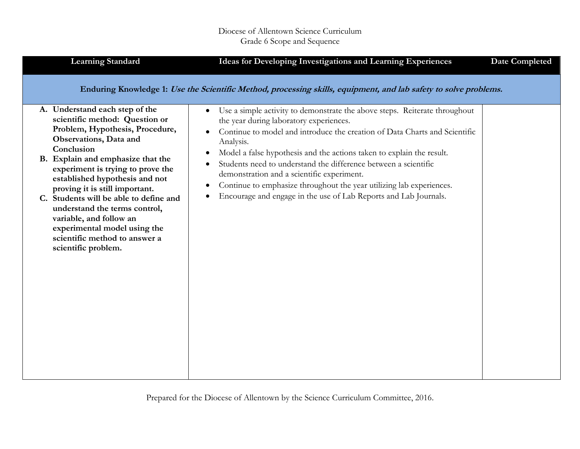| <b>Learning Standard</b>                                                                                                                                                                                                                                                                                                                                                                                                                                                                | Ideas for Developing Investigations and Learning Experiences                                                                                                                                                                                                                                                                                                                                                                                                                                                                                                                                  | <b>Date Completed</b> |
|-----------------------------------------------------------------------------------------------------------------------------------------------------------------------------------------------------------------------------------------------------------------------------------------------------------------------------------------------------------------------------------------------------------------------------------------------------------------------------------------|-----------------------------------------------------------------------------------------------------------------------------------------------------------------------------------------------------------------------------------------------------------------------------------------------------------------------------------------------------------------------------------------------------------------------------------------------------------------------------------------------------------------------------------------------------------------------------------------------|-----------------------|
|                                                                                                                                                                                                                                                                                                                                                                                                                                                                                         | Enduring Knowledge 1: Use the Scientific Method, processing skills, equipment, and lab safety to solve problems.                                                                                                                                                                                                                                                                                                                                                                                                                                                                              |                       |
| A. Understand each step of the<br>scientific method: Question or<br>Problem, Hypothesis, Procedure,<br>Observations, Data and<br>Conclusion<br>B. Explain and emphasize that the<br>experiment is trying to prove the<br>established hypothesis and not<br>proving it is still important.<br>C. Students will be able to define and<br>understand the terms control,<br>variable, and follow an<br>experimental model using the<br>scientific method to answer a<br>scientific problem. | Use a simple activity to demonstrate the above steps. Reiterate throughout<br>$\bullet$<br>the year during laboratory experiences.<br>Continue to model and introduce the creation of Data Charts and Scientific<br>Analysis.<br>Model a false hypothesis and the actions taken to explain the result.<br>$\bullet$<br>Students need to understand the difference between a scientific<br>demonstration and a scientific experiment.<br>Continue to emphasize throughout the year utilizing lab experiences.<br>$\bullet$<br>Encourage and engage in the use of Lab Reports and Lab Journals. |                       |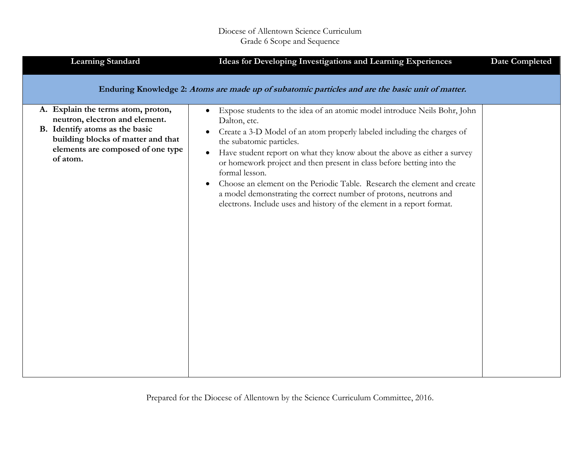| <b>Learning Standard</b>                                                                                                                                                                      | Ideas for Developing Investigations and Learning Experiences                                                                                                                                                                                                                                                                                                                                                                                                                                                                                                                                                                                           | <b>Date Completed</b> |
|-----------------------------------------------------------------------------------------------------------------------------------------------------------------------------------------------|--------------------------------------------------------------------------------------------------------------------------------------------------------------------------------------------------------------------------------------------------------------------------------------------------------------------------------------------------------------------------------------------------------------------------------------------------------------------------------------------------------------------------------------------------------------------------------------------------------------------------------------------------------|-----------------------|
|                                                                                                                                                                                               | Enduring Knowledge 2: Atoms are made up of subatomic particles and are the basic unit of matter.                                                                                                                                                                                                                                                                                                                                                                                                                                                                                                                                                       |                       |
| A. Explain the terms atom, proton,<br>neutron, electron and element.<br>B. Identify atoms as the basic<br>building blocks of matter and that<br>elements are composed of one type<br>of atom. | Expose students to the idea of an atomic model introduce Neils Bohr, John<br>$\bullet$<br>Dalton, etc.<br>Create a 3-D Model of an atom properly labeled including the charges of<br>$\bullet$<br>the subatomic particles.<br>Have student report on what they know about the above as either a survey<br>$\bullet$<br>or homework project and then present in class before betting into the<br>formal lesson.<br>Choose an element on the Periodic Table. Research the element and create<br>$\bullet$<br>a model demonstrating the correct number of protons, neutrons and<br>electrons. Include uses and history of the element in a report format. |                       |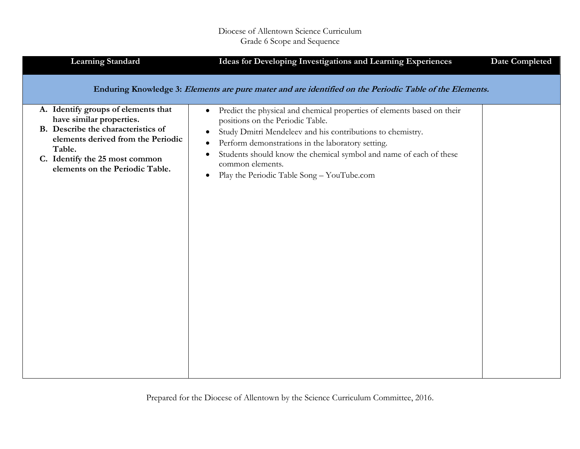| <b>Learning Standard</b>                                                                                                                                                                                                   | Ideas for Developing Investigations and Learning Experiences                                                                                                                                                                                                                                                                                                                                                                            | <b>Date Completed</b> |
|----------------------------------------------------------------------------------------------------------------------------------------------------------------------------------------------------------------------------|-----------------------------------------------------------------------------------------------------------------------------------------------------------------------------------------------------------------------------------------------------------------------------------------------------------------------------------------------------------------------------------------------------------------------------------------|-----------------------|
|                                                                                                                                                                                                                            | Enduring Knowledge 3: Elements are pure mater and are identified on the Periodic Table of the Elements.                                                                                                                                                                                                                                                                                                                                 |                       |
| A. Identify groups of elements that<br>have similar properties.<br>B. Describe the characteristics of<br>elements derived from the Periodic<br>Table.<br>C. Identify the 25 most common<br>elements on the Periodic Table. | Predict the physical and chemical properties of elements based on their<br>$\bullet$<br>positions on the Periodic Table.<br>Study Dmitri Mendeleev and his contributions to chemistry.<br>$\bullet$<br>Perform demonstrations in the laboratory setting.<br>$\bullet$<br>Students should know the chemical symbol and name of each of these<br>$\bullet$<br>common elements.<br>Play the Periodic Table Song - YouTube.com<br>$\bullet$ |                       |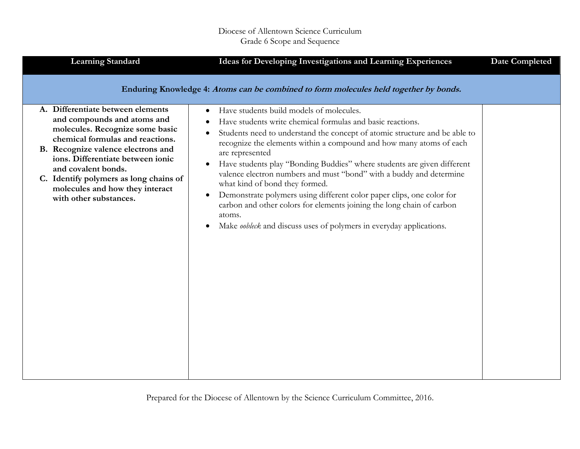| <b>Learning Standard</b>                                                                                                                                                                                                                                                                                                                         | Ideas for Developing Investigations and Learning Experiences                                                                                                                                                                                                                                                                                                                                                                                                                                                                                                                                                                                                                                                                                                                  | <b>Date Completed</b> |
|--------------------------------------------------------------------------------------------------------------------------------------------------------------------------------------------------------------------------------------------------------------------------------------------------------------------------------------------------|-------------------------------------------------------------------------------------------------------------------------------------------------------------------------------------------------------------------------------------------------------------------------------------------------------------------------------------------------------------------------------------------------------------------------------------------------------------------------------------------------------------------------------------------------------------------------------------------------------------------------------------------------------------------------------------------------------------------------------------------------------------------------------|-----------------------|
|                                                                                                                                                                                                                                                                                                                                                  | Enduring Knowledge 4: Atoms can be combined to form molecules held together by bonds.                                                                                                                                                                                                                                                                                                                                                                                                                                                                                                                                                                                                                                                                                         |                       |
| A. Differentiate between elements<br>and compounds and atoms and<br>molecules. Recognize some basic<br>chemical formulas and reactions.<br>B. Recognize valence electrons and<br>ions. Differentiate between ionic<br>and covalent bonds.<br>C. Identify polymers as long chains of<br>molecules and how they interact<br>with other substances. | Have students build models of molecules.<br>$\bullet$<br>Have students write chemical formulas and basic reactions.<br>Students need to understand the concept of atomic structure and be able to<br>$\bullet$<br>recognize the elements within a compound and how many atoms of each<br>are represented<br>Have students play "Bonding Buddies" where students are given different<br>$\bullet$<br>valence electron numbers and must "bond" with a buddy and determine<br>what kind of bond they formed.<br>Demonstrate polymers using different color paper clips, one color for<br>$\bullet$<br>carbon and other colors for elements joining the long chain of carbon<br>atoms.<br>Make <i>oobleck</i> and discuss uses of polymers in everyday applications.<br>$\bullet$ |                       |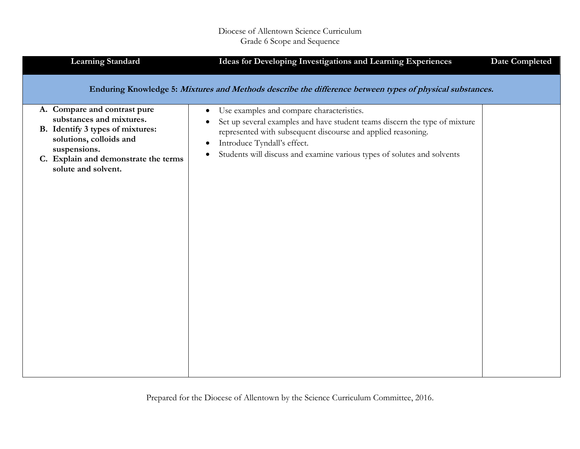| <b>Learning Standard</b>                                                                                                                                                                               | Ideas for Developing Investigations and Learning Experiences                                                                                                                                                                                                                                                                                          | <b>Date Completed</b> |
|--------------------------------------------------------------------------------------------------------------------------------------------------------------------------------------------------------|-------------------------------------------------------------------------------------------------------------------------------------------------------------------------------------------------------------------------------------------------------------------------------------------------------------------------------------------------------|-----------------------|
|                                                                                                                                                                                                        | Enduring Knowledge 5: Mixtures and Methods describe the difference between types of physical substances.                                                                                                                                                                                                                                              |                       |
| A. Compare and contrast pure<br>substances and mixtures.<br>B. Identify 3 types of mixtures:<br>solutions, colloids and<br>suspensions.<br>C. Explain and demonstrate the terms<br>solute and solvent. | Use examples and compare characteristics.<br>$\bullet$<br>Set up several examples and have student teams discern the type of mixture<br>$\bullet$<br>represented with subsequent discourse and applied reasoning.<br>Introduce Tyndall's effect.<br>$\bullet$<br>Students will discuss and examine various types of solutes and solvents<br>$\bullet$ |                       |
|                                                                                                                                                                                                        |                                                                                                                                                                                                                                                                                                                                                       |                       |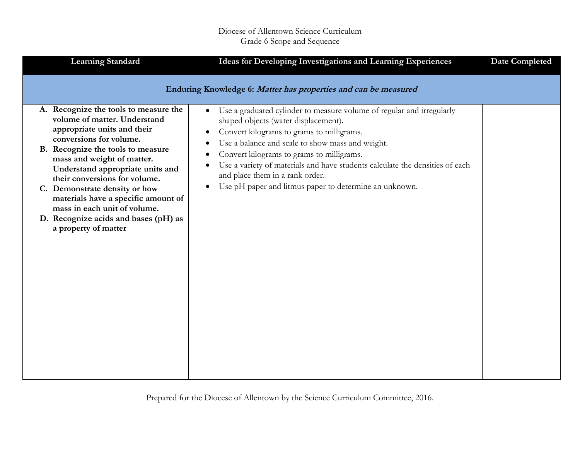| <b>Learning Standard</b>                                                                                                                                                                                                                                                                                                                                                                                                                        | Ideas for Developing Investigations and Learning Experiences                                                                                                                                                                                                                                                                                                                                                                                                                                                             | <b>Date Completed</b> |
|-------------------------------------------------------------------------------------------------------------------------------------------------------------------------------------------------------------------------------------------------------------------------------------------------------------------------------------------------------------------------------------------------------------------------------------------------|--------------------------------------------------------------------------------------------------------------------------------------------------------------------------------------------------------------------------------------------------------------------------------------------------------------------------------------------------------------------------------------------------------------------------------------------------------------------------------------------------------------------------|-----------------------|
| A. Recognize the tools to measure the<br>volume of matter. Understand<br>appropriate units and their<br>conversions for volume.<br>B. Recognize the tools to measure<br>mass and weight of matter.<br>Understand appropriate units and<br>their conversions for volume.<br>C. Demonstrate density or how<br>materials have a specific amount of<br>mass in each unit of volume.<br>D. Recognize acids and bases (pH) as<br>a property of matter | Enduring Knowledge 6: Matter has properties and can be measured<br>Use a graduated cylinder to measure volume of regular and irregularly<br>$\bullet$<br>shaped objects (water displacement).<br>Convert kilograms to grams to milligrams.<br>Use a balance and scale to show mass and weight.<br>Convert kilograms to grams to milligrams.<br>Use a variety of materials and have students calculate the densities of each<br>and place them in a rank order.<br>Use pH paper and litmus paper to determine an unknown. |                       |
|                                                                                                                                                                                                                                                                                                                                                                                                                                                 |                                                                                                                                                                                                                                                                                                                                                                                                                                                                                                                          |                       |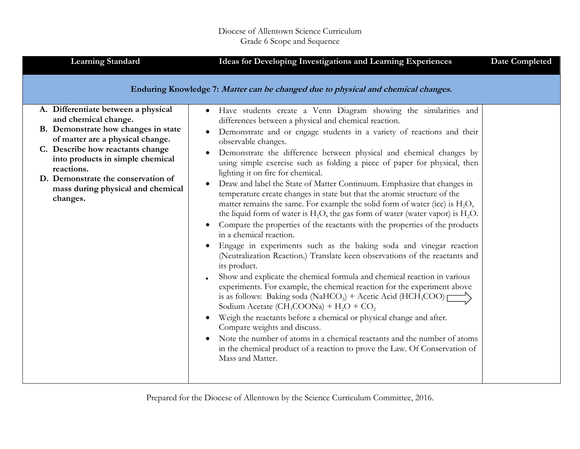| <b>Learning Standard</b>                                                                                                                                                                                                                                                                                            | Ideas for Developing Investigations and Learning Experiences                                                                                                                                                                                                                                                                                                                                                                                                                                                                                                                                                                                                                                                                                                                                                                                                                                                                                                                                                                                                                                                                                                                                                                                                                                                                                                                                                                                                                                                                                                                                                                                                                | <b>Date Completed</b> |
|---------------------------------------------------------------------------------------------------------------------------------------------------------------------------------------------------------------------------------------------------------------------------------------------------------------------|-----------------------------------------------------------------------------------------------------------------------------------------------------------------------------------------------------------------------------------------------------------------------------------------------------------------------------------------------------------------------------------------------------------------------------------------------------------------------------------------------------------------------------------------------------------------------------------------------------------------------------------------------------------------------------------------------------------------------------------------------------------------------------------------------------------------------------------------------------------------------------------------------------------------------------------------------------------------------------------------------------------------------------------------------------------------------------------------------------------------------------------------------------------------------------------------------------------------------------------------------------------------------------------------------------------------------------------------------------------------------------------------------------------------------------------------------------------------------------------------------------------------------------------------------------------------------------------------------------------------------------------------------------------------------------|-----------------------|
|                                                                                                                                                                                                                                                                                                                     | Enduring Knowledge 7: Matter can be changed due to physical and chemical changes.                                                                                                                                                                                                                                                                                                                                                                                                                                                                                                                                                                                                                                                                                                                                                                                                                                                                                                                                                                                                                                                                                                                                                                                                                                                                                                                                                                                                                                                                                                                                                                                           |                       |
| A. Differentiate between a physical<br>and chemical change.<br>B. Demonstrate how changes in state<br>of matter are a physical change.<br>C. Describe how reactants change<br>into products in simple chemical<br>reactions.<br>D. Demonstrate the conservation of<br>mass during physical and chemical<br>changes. | Have students create a Venn Diagram showing the similarities and<br>$\bullet$<br>differences between a physical and chemical reaction.<br>Demonstrate and or engage students in a variety of reactions and their<br>observable changes.<br>Demonstrate the difference between physical and chemical changes by<br>using simple exercise such as folding a piece of paper for physical, then<br>lighting it on fire for chemical.<br>Draw and label the State of Matter Continuum. Emphasize that changes in<br>temperature create changes in state but that the atomic structure of the<br>matter remains the same. For example the solid form of water (ice) is H <sub>2</sub> O,<br>the liquid form of water is $H2O$ , the gas form of water (water vapor) is $H2O$ .<br>Compare the properties of the reactants with the properties of the products<br>in a chemical reaction.<br>Engage in experiments such as the baking soda and vinegar reaction<br>(Neutralization Reaction.) Translate keen observations of the reactants and<br>its product.<br>Show and explicate the chemical formula and chemical reaction in various<br>experiments. For example, the chemical reaction for the experiment above<br>is as follows: Baking soda (NaHCO <sub>3</sub> ) + Acetic Acid (HCH <sub>3</sub> COO) $\Gamma$<br>Sodium Acetate (CH <sub>3</sub> COONa) + $H_2O$ + CO <sub>2</sub><br>Weigh the reactants before a chemical or physical change and after.<br>Compare weights and discuss.<br>Note the number of atoms in a chemical reactants and the number of atoms<br>in the chemical product of a reaction to prove the Law. Of Conservation of<br>Mass and Matter. |                       |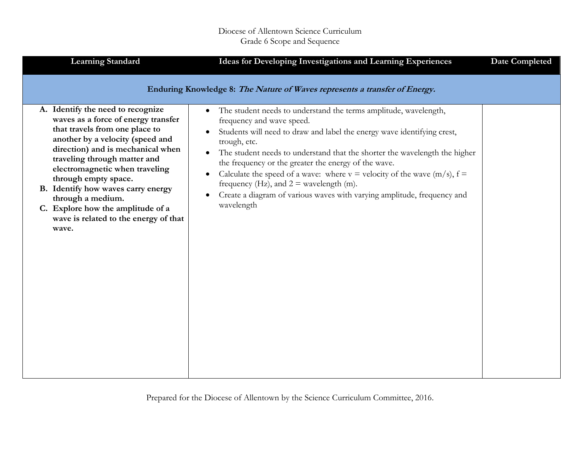| <b>Learning Standard</b>                                                                                                                                                                                                                                                                                                                                                                                                        | Ideas for Developing Investigations and Learning Experiences                                                                                                                                                                                                                                                                                                                                                                                                                                                                                                      | <b>Date Completed</b> |
|---------------------------------------------------------------------------------------------------------------------------------------------------------------------------------------------------------------------------------------------------------------------------------------------------------------------------------------------------------------------------------------------------------------------------------|-------------------------------------------------------------------------------------------------------------------------------------------------------------------------------------------------------------------------------------------------------------------------------------------------------------------------------------------------------------------------------------------------------------------------------------------------------------------------------------------------------------------------------------------------------------------|-----------------------|
|                                                                                                                                                                                                                                                                                                                                                                                                                                 | Enduring Knowledge 8: The Nature of Waves represents a transfer of Energy.                                                                                                                                                                                                                                                                                                                                                                                                                                                                                        |                       |
| A. Identify the need to recognize<br>waves as a force of energy transfer<br>that travels from one place to<br>another by a velocity (speed and<br>direction) and is mechanical when<br>traveling through matter and<br>electromagnetic when traveling<br>through empty space.<br>B. Identify how waves carry energy<br>through a medium.<br>C. Explore how the amplitude of a<br>wave is related to the energy of that<br>wave. | The student needs to understand the terms amplitude, wavelength,<br>$\bullet$<br>frequency and wave speed.<br>Students will need to draw and label the energy wave identifying crest,<br>trough, etc.<br>The student needs to understand that the shorter the wavelength the higher<br>the frequency or the greater the energy of the wave.<br>Calculate the speed of a wave: where $v =$ velocity of the wave (m/s), $f =$<br>frequency (Hz), and $2 =$ wavelength (m).<br>Create a diagram of various waves with varying amplitude, frequency and<br>wavelength |                       |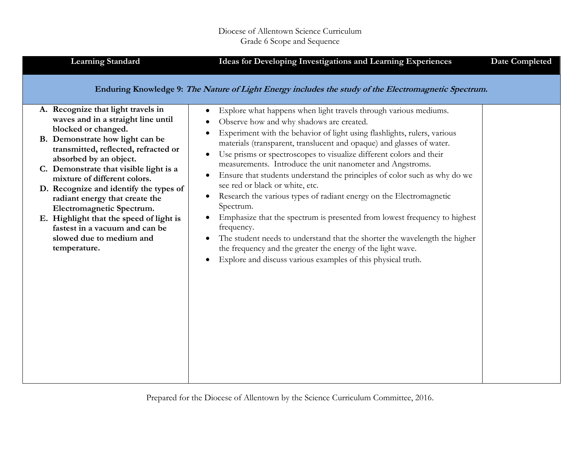| <b>Learning Standard</b>                                                                                                                                                                                                                                                                                                                                                                                                                                             | Ideas for Developing Investigations and Learning Experiences                                                                                                                                                                                                                                                                                                                                                                                                                                                                                                                                                                                                                                                                                                                                                              | <b>Date Completed</b> |
|----------------------------------------------------------------------------------------------------------------------------------------------------------------------------------------------------------------------------------------------------------------------------------------------------------------------------------------------------------------------------------------------------------------------------------------------------------------------|---------------------------------------------------------------------------------------------------------------------------------------------------------------------------------------------------------------------------------------------------------------------------------------------------------------------------------------------------------------------------------------------------------------------------------------------------------------------------------------------------------------------------------------------------------------------------------------------------------------------------------------------------------------------------------------------------------------------------------------------------------------------------------------------------------------------------|-----------------------|
| A. Recognize that light travels in<br>waves and in a straight line until<br>blocked or changed.<br>B. Demonstrate how light can be<br>transmitted, reflected, refracted or<br>absorbed by an object.<br>C. Demonstrate that visible light is a<br>mixture of different colors.<br>D. Recognize and identify the types of<br>radiant energy that create the<br>Electromagnetic Spectrum.<br>E. Highlight that the speed of light is<br>fastest in a vacuum and can be | Enduring Knowledge 9: The Nature of Light Energy includes the study of the Electromagnetic Spectrum.<br>Explore what happens when light travels through various mediums.<br>Observe how and why shadows are created.<br>Experiment with the behavior of light using flashlights, rulers, various<br>materials (transparent, translucent and opaque) and glasses of water.<br>Use prisms or spectroscopes to visualize different colors and their<br>measurements. Introduce the unit nanometer and Angstroms.<br>Ensure that students understand the principles of color such as why do we<br>see red or black or white, etc.<br>Research the various types of radiant energy on the Electromagnetic<br>$\bullet$<br>Spectrum.<br>Emphasize that the spectrum is presented from lowest frequency to highest<br>frequency. |                       |
| slowed due to medium and<br>temperature.                                                                                                                                                                                                                                                                                                                                                                                                                             | The student needs to understand that the shorter the wavelength the higher<br>the frequency and the greater the energy of the light wave.<br>Explore and discuss various examples of this physical truth.                                                                                                                                                                                                                                                                                                                                                                                                                                                                                                                                                                                                                 |                       |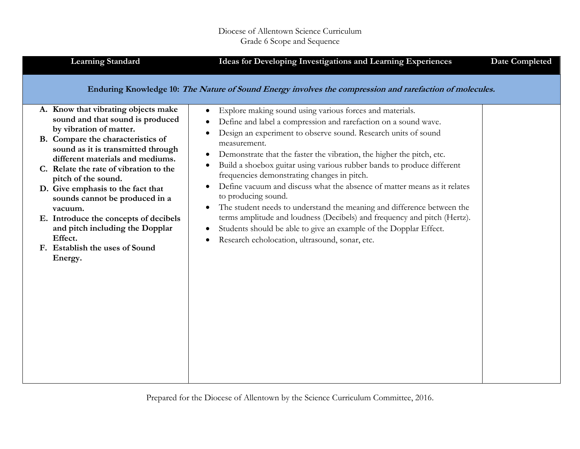| <b>Learning Standard</b>                                                                                    | Ideas for Developing Investigations and Learning Experiences                                                                                                                                                                                                                                                           | <b>Date Completed</b> |
|-------------------------------------------------------------------------------------------------------------|------------------------------------------------------------------------------------------------------------------------------------------------------------------------------------------------------------------------------------------------------------------------------------------------------------------------|-----------------------|
| A. Know that vibrating objects make<br>sound and that sound is produced<br>by vibration of matter.          | Enduring Knowledge 10: The Nature of Sound Energy involves the compression and rarefaction of molecules.<br>Explore making sound using various forces and materials.<br>$\bullet$<br>Define and label a compression and rarefaction on a sound wave.<br>Design an experiment to observe sound. Research units of sound |                       |
| B. Compare the characteristics of<br>sound as it is transmitted through<br>different materials and mediums. | measurement.<br>Demonstrate that the faster the vibration, the higher the pitch, etc.<br>$\bullet$<br>Build a shoebox guitar using various rubber bands to produce different<br>$\bullet$                                                                                                                              |                       |
| C. Relate the rate of vibration to the<br>pitch of the sound.                                               | frequencies demonstrating changes in pitch.                                                                                                                                                                                                                                                                            |                       |
| D. Give emphasis to the fact that<br>sounds cannot be produced in a<br>vacuum.                              | Define vacuum and discuss what the absence of matter means as it relates<br>to producing sound.<br>The student needs to understand the meaning and difference between the<br>$\bullet$                                                                                                                                 |                       |
| E. Introduce the concepts of decibels<br>and pitch including the Dopplar<br>Effect.                         | terms amplitude and loudness (Decibels) and frequency and pitch (Hertz).<br>Students should be able to give an example of the Dopplar Effect.<br>$\bullet$                                                                                                                                                             |                       |
| F. Establish the uses of Sound<br>Energy.                                                                   | Research echolocation, ultrasound, sonar, etc.<br>٠                                                                                                                                                                                                                                                                    |                       |
|                                                                                                             |                                                                                                                                                                                                                                                                                                                        |                       |
|                                                                                                             |                                                                                                                                                                                                                                                                                                                        |                       |
|                                                                                                             |                                                                                                                                                                                                                                                                                                                        |                       |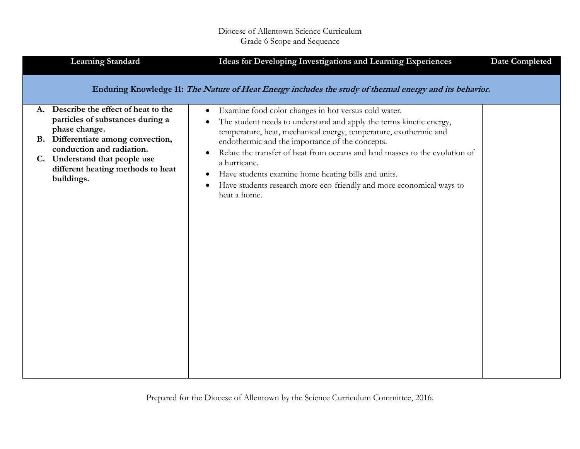| <b>Learning Standard</b>                                                                                                                                                                                                                          | Ideas for Developing Investigations and Learning Experiences                                                                                                                                                                                                                                                                                                                                                                                                                                                                                                       | <b>Date Completed</b> |
|---------------------------------------------------------------------------------------------------------------------------------------------------------------------------------------------------------------------------------------------------|--------------------------------------------------------------------------------------------------------------------------------------------------------------------------------------------------------------------------------------------------------------------------------------------------------------------------------------------------------------------------------------------------------------------------------------------------------------------------------------------------------------------------------------------------------------------|-----------------------|
|                                                                                                                                                                                                                                                   | Enduring Knowledge 11: The Nature of Heat Energy includes the study of thermal energy and its behavior.                                                                                                                                                                                                                                                                                                                                                                                                                                                            |                       |
| A. Describe the effect of heat to the<br>particles of substances during a<br>phase change.<br>B. Differentiate among convection,<br>conduction and radiation.<br>C. Understand that people use<br>different heating methods to heat<br>buildings. | Examine food color changes in hot versus cold water.<br>$\bullet$<br>The student needs to understand and apply the terms kinetic energy,<br>$\bullet$<br>temperature, heat, mechanical energy, temperature, exothermic and<br>endothermic and the importance of the concepts.<br>Relate the transfer of heat from oceans and land masses to the evolution of<br>$\bullet$<br>a hurricane.<br>Have students examine home heating bills and units.<br>$\bullet$<br>Have students research more eco-friendly and more economical ways to<br>$\bullet$<br>heat a home. |                       |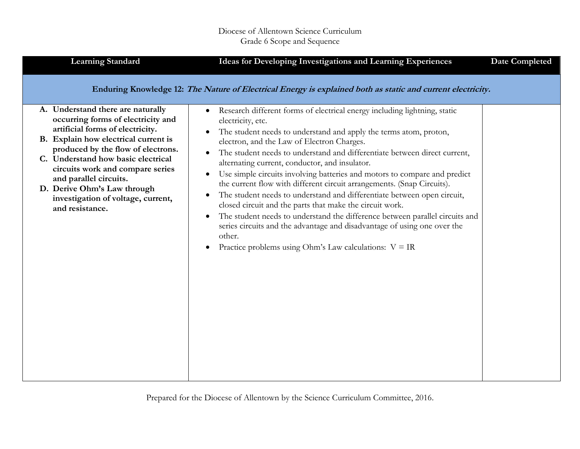| <b>Learning Standard</b>                                                                                                                                                                                                                                                                                                                                                              | Ideas for Developing Investigations and Learning Experiences                                                                                                                                                                                                                                                                                                                                                                                                                                                                                                                                                                                                                                                                                                                                                                                                                                                                                                                | <b>Date Completed</b> |
|---------------------------------------------------------------------------------------------------------------------------------------------------------------------------------------------------------------------------------------------------------------------------------------------------------------------------------------------------------------------------------------|-----------------------------------------------------------------------------------------------------------------------------------------------------------------------------------------------------------------------------------------------------------------------------------------------------------------------------------------------------------------------------------------------------------------------------------------------------------------------------------------------------------------------------------------------------------------------------------------------------------------------------------------------------------------------------------------------------------------------------------------------------------------------------------------------------------------------------------------------------------------------------------------------------------------------------------------------------------------------------|-----------------------|
|                                                                                                                                                                                                                                                                                                                                                                                       | Enduring Knowledge 12: The Nature of Electrical Energy is explained both as static and current electricity.                                                                                                                                                                                                                                                                                                                                                                                                                                                                                                                                                                                                                                                                                                                                                                                                                                                                 |                       |
| A. Understand there are naturally<br>occurring forms of electricity and<br>artificial forms of electricity.<br>B. Explain how electrical current is<br>produced by the flow of electrons.<br>C. Understand how basic electrical<br>circuits work and compare series<br>and parallel circuits.<br>D. Derive Ohm's Law through<br>investigation of voltage, current,<br>and resistance. | Research different forms of electrical energy including lightning, static<br>$\bullet$<br>electricity, etc.<br>The student needs to understand and apply the terms atom, proton,<br>$\bullet$<br>electron, and the Law of Electron Charges.<br>The student needs to understand and differentiate between direct current,<br>$\bullet$<br>alternating current, conductor, and insulator.<br>Use simple circuits involving batteries and motors to compare and predict<br>$\bullet$<br>the current flow with different circuit arrangements. (Snap Circuits).<br>The student needs to understand and differentiate between open circuit,<br>$\bullet$<br>closed circuit and the parts that make the circuit work.<br>The student needs to understand the difference between parallel circuits and<br>$\bullet$<br>series circuits and the advantage and disadvantage of using one over the<br>other.<br>Practice problems using Ohm's Law calculations: $V = IR$<br>$\bullet$ |                       |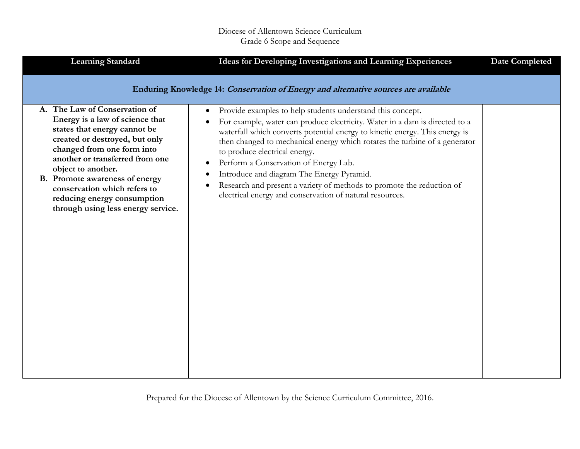| <b>Learning Standard</b>                                                                                                                                                                                                                                                                                                                                         | Ideas for Developing Investigations and Learning Experiences                                                                                                                                                                                                                                                                                                                                                                                                                                                                                                                         | <b>Date Completed</b> |  |
|------------------------------------------------------------------------------------------------------------------------------------------------------------------------------------------------------------------------------------------------------------------------------------------------------------------------------------------------------------------|--------------------------------------------------------------------------------------------------------------------------------------------------------------------------------------------------------------------------------------------------------------------------------------------------------------------------------------------------------------------------------------------------------------------------------------------------------------------------------------------------------------------------------------------------------------------------------------|-----------------------|--|
| Enduring Knowledge 14: Conservation of Energy and alternative sources are available                                                                                                                                                                                                                                                                              |                                                                                                                                                                                                                                                                                                                                                                                                                                                                                                                                                                                      |                       |  |
| A. The Law of Conservation of<br>Energy is a law of science that<br>states that energy cannot be<br>created or destroyed, but only<br>changed from one form into<br>another or transferred from one<br>object to another.<br>B. Promote awareness of energy<br>conservation which refers to<br>reducing energy consumption<br>through using less energy service. | Provide examples to help students understand this concept.<br>$\bullet$<br>For example, water can produce electricity. Water in a dam is directed to a<br>waterfall which converts potential energy to kinetic energy. This energy is<br>then changed to mechanical energy which rotates the turbine of a generator<br>to produce electrical energy.<br>Perform a Conservation of Energy Lab.<br>Introduce and diagram The Energy Pyramid.<br>Research and present a variety of methods to promote the reduction of<br>٠<br>electrical energy and conservation of natural resources. |                       |  |